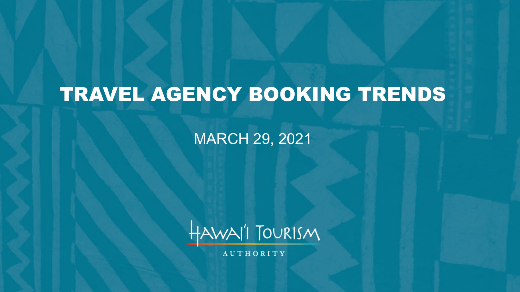# TRAVEL AGENCY BOOKING TRENDS

MARCH 29, 2021



**AUTHORITY**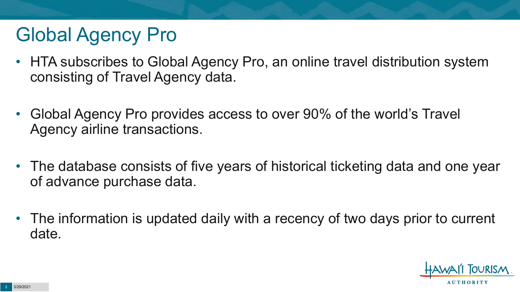# Global Agency Pro

- HTA subscribes to Global Agency Pro, an online travel distribution system consisting of Travel Agency data.
- Global Agency Pro provides access to over 90% of the world's Travel Agency airline transactions.
- The database consists of five years of historical ticketing data and one year of advance purchase data.
- The information is updated daily with a recency of two days prior to current date.

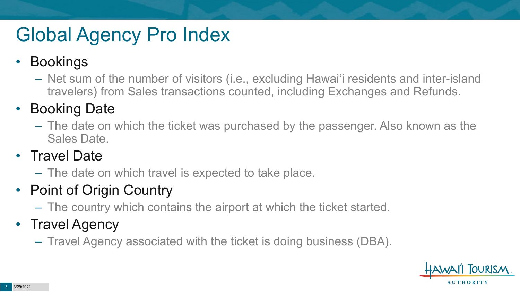# Global Agency Pro Index

### • Bookings

– Net sum of the number of visitors (i.e., excluding Hawai'i residents and inter-island travelers) from Sales transactions counted, including Exchanges and Refunds.

### • Booking Date

– The date on which the ticket was purchased by the passenger. Also known as the Sales Date.

### • Travel Date

– The date on which travel is expected to take place.

## • Point of Origin Country

– The country which contains the airport at which the ticket started.

## • Travel Agency

– Travel Agency associated with the ticket is doing business (DBA).

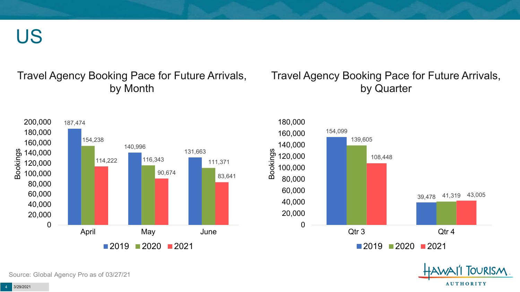US

#### Travel Agency Booking Pace for Future Arrivals, by Month

#### Travel Agency Booking Pace for Future Arrivals, by Quarter







Source: Global Agency Pro as of 03/27/21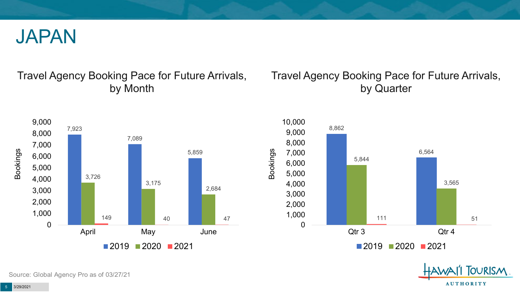

#### Travel Agency Booking Pace for Future Arrivals, by Month

#### Travel Agency Booking Pace for Future Arrivals, by Quarter





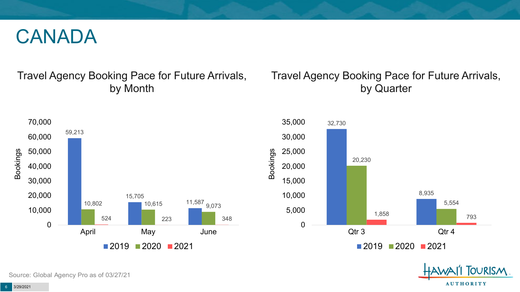## CANADA

#### Travel Agency Booking Pace for Future Arrivals, by Month

#### Travel Agency Booking Pace for Future Arrivals, by Quarter





Source: Global Agency Pro as of 03/27/21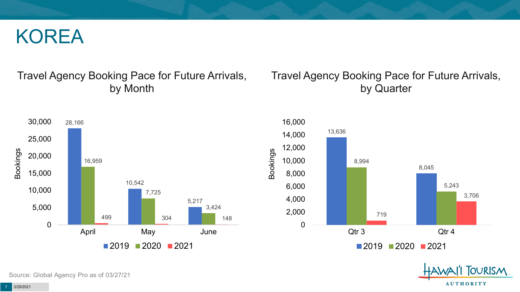## KOREA

#### Travel Agency Booking Pace for Future Arrivals, by Month

#### Travel Agency Booking Pace for Future Arrivals, by Quarter







Source: Global Agency Pro as of 03/27/21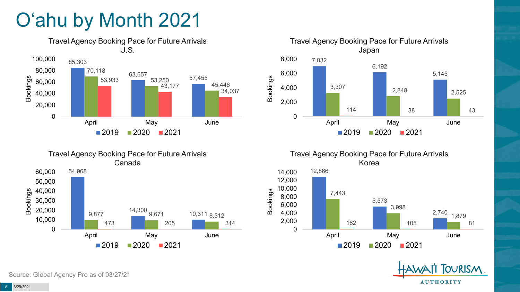# O'ahu by Month 2021





Travel Agency Booking Pace for Future Arrivals

Bookings



Korea 12,866 5,573 2,740 7,443 3,998 1,879 182 105 81 0 2,000 4,000 6,000 8,000 10,000 12,000 14,000 April May June  $2019$  2020 2021

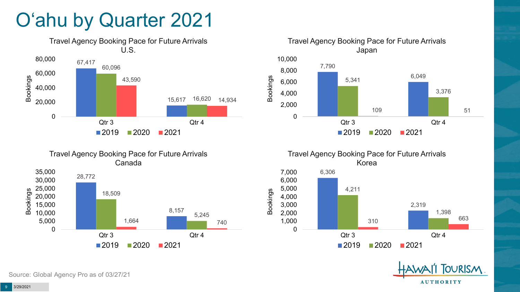# O'ahu by Quarter 2021





Canada 28,772 8,157 18,509 5,245 1,664 740 0 5,000 10,000 15,000 20,000 25,000 30,000 35,000 Qtr 3 Qtr 4 Bookings  $2019$  2020 2021

Travel Agency Booking Pace for Future Arrivals





Source: Global Agency Pro as of 03/27/21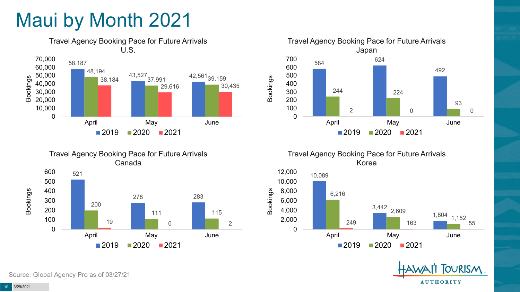# Maui by Month 2021



Travel Agency Booking Pace for Future Arrivals Canada 521 278 283 200 111 115 19 0 2 0 100 200 300 400 500 600 April May June Bookings  $2019$  2020 2021



Travel Agency Booking Pace for Future Arrivals Korea





Source: Global Agency Pro as of 03/27/21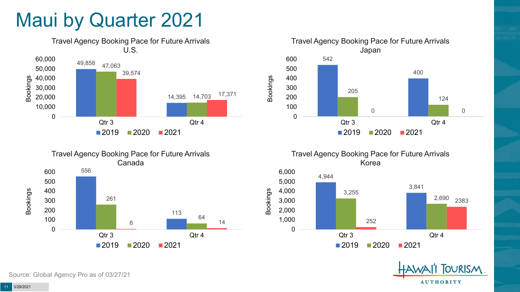## Maui by Quarter 2021







Travel Agency Booking Pace for Future Arrivals Korea





Source: Global Agency Pro as of 03/27/21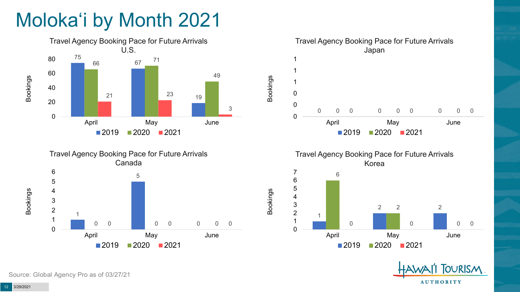# Moloka'i by Month 2021









Bookings



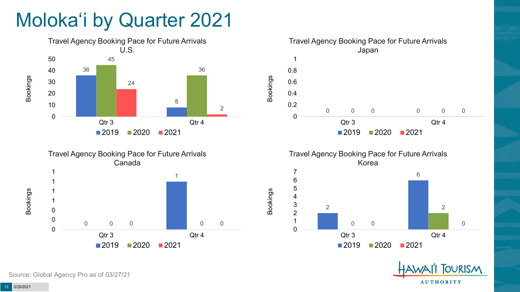# Moloka'i by Quarter 2021





Travel Agency Booking Pace for Future Arrivals Japan 0 0 0 0 0 0.2 0.4 0.6 0.8 Qtr 3 Qtr 4  $2020$   $2021$ 

Bookings

Bookings







Source: Global Agency Pro as of 03/27/21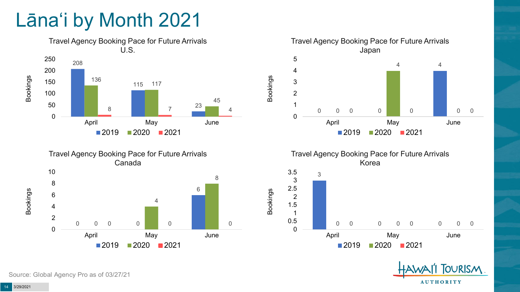# Lāna'i by Month 2021









Bookings





Source: Global Agency Pro as of 03/27/21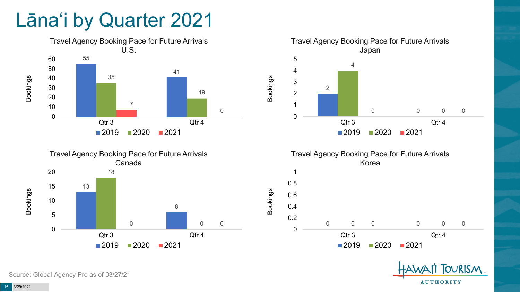## Lāna'i by Quarter 2021









Bookings



Source: Global Agency Pro as of 03/27/21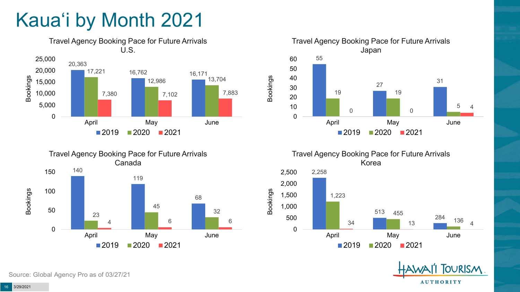# Kaua'i by Month 2021







Travel Agency Booking Pace for Future Arrivals Korea

Bookings



**OURISM AUTHORITY** 

Source: Global Agency Pro as of 03/27/21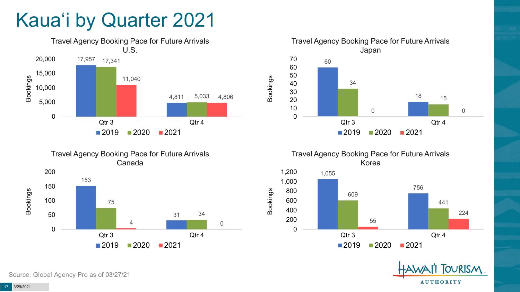# Kaua'i by Quarter 2021







Travel Agency Booking Pace for Future Arrivals Korea





Source: Global Agency Pro as of 03/27/21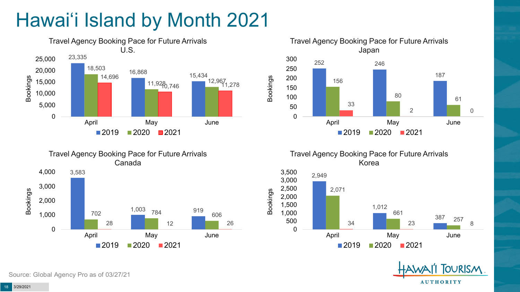# Hawai'i Island by Month 2021





Travel Agency Booking Pace for Future Arrivals Korea





Canada 3,583 702 <sup>1,003</sup> 784 <sup>919</sup> 606 28 12 12 26 0 1,000 2,000 3,000 4,000 April May June Bookings  $2019$  2020 2021

Travel Agency Booking Pace for Future Arrivals